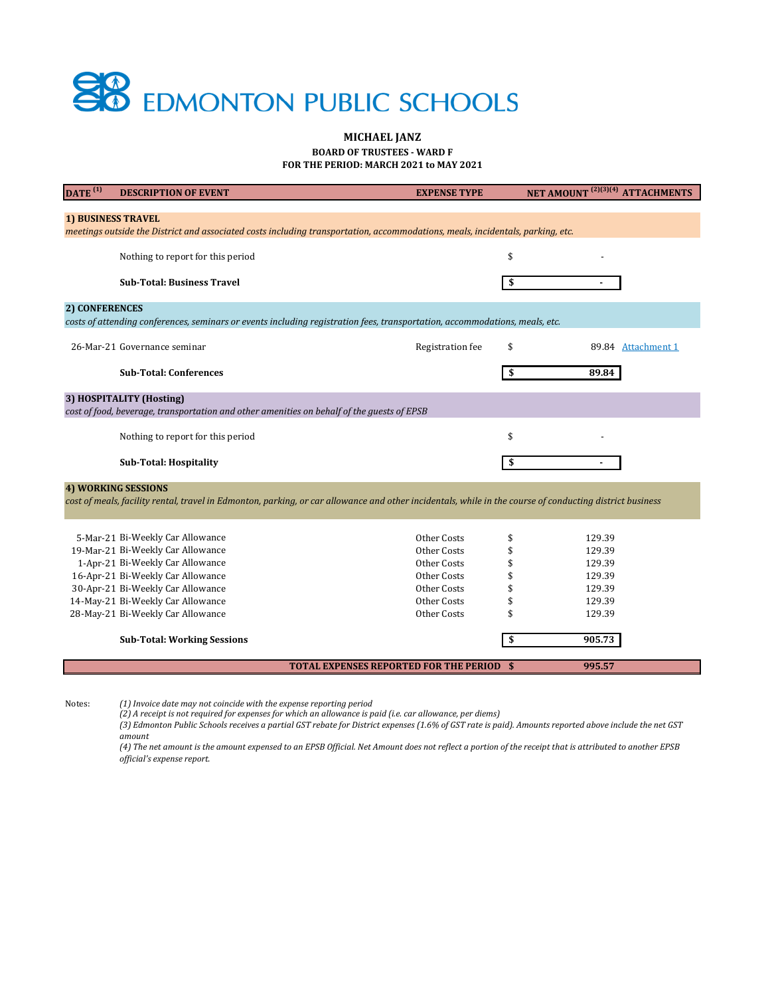*(4) The net amount is the amount expensed to an EPSB Official. Net Amount does not reflect a portion of the receipt that is attributed to another EPSB official's expense report.* 

| $\overline{\text{DATE}}^{(1)}$                                                                                                                              | <b>DESCRIPTION OF EVENT</b>        | <b>EXPENSE TYPE</b>                              |    | NET AMOUNT <sup>(2)(3)(4)</sup> ATTACHMENTS |  |  |
|-------------------------------------------------------------------------------------------------------------------------------------------------------------|------------------------------------|--------------------------------------------------|----|---------------------------------------------|--|--|
|                                                                                                                                                             |                                    |                                                  |    |                                             |  |  |
| <b>1) BUSINESS TRAVEL</b><br>meetings outside the District and associated costs including transportation, accommodations, meals, incidentals, parking, etc. |                                    |                                                  |    |                                             |  |  |
|                                                                                                                                                             |                                    |                                                  |    |                                             |  |  |
|                                                                                                                                                             | Nothing to report for this period  |                                                  | \$ |                                             |  |  |
|                                                                                                                                                             | <b>Sub-Total: Business Travel</b>  |                                                  | \$ |                                             |  |  |
| 2) CONFERENCES                                                                                                                                              |                                    |                                                  |    |                                             |  |  |
| costs of attending conferences, seminars or events including registration fees, transportation, accommodations, meals, etc.                                 |                                    |                                                  |    |                                             |  |  |
|                                                                                                                                                             | 26-Mar-21 Governance seminar       |                                                  |    |                                             |  |  |
|                                                                                                                                                             |                                    | Registration fee                                 | \$ | 89.84 Attachment 1                          |  |  |
|                                                                                                                                                             | <b>Sub-Total: Conferences</b>      |                                                  | \$ | 89.84                                       |  |  |
|                                                                                                                                                             |                                    |                                                  |    |                                             |  |  |
| 3) HOSPITALITY (Hosting)<br>cost of food, beverage, transportation and other amenities on behalf of the guests of EPSB                                      |                                    |                                                  |    |                                             |  |  |
|                                                                                                                                                             |                                    |                                                  |    |                                             |  |  |
|                                                                                                                                                             | Nothing to report for this period  |                                                  | \$ |                                             |  |  |
|                                                                                                                                                             | <b>Sub-Total: Hospitality</b>      |                                                  | \$ |                                             |  |  |
|                                                                                                                                                             | <b>4) WORKING SESSIONS</b>         |                                                  |    |                                             |  |  |
| cost of meals, facility rental, travel in Edmonton, parking, or car allowance and other incidentals, while in the course of conducting district business    |                                    |                                                  |    |                                             |  |  |
|                                                                                                                                                             |                                    |                                                  |    |                                             |  |  |
|                                                                                                                                                             | 5-Mar-21 Bi-Weekly Car Allowance   | Other Costs                                      |    | 129.39                                      |  |  |
|                                                                                                                                                             | 19-Mar-21 Bi-Weekly Car Allowance  | Other Costs                                      | \$ | 129.39                                      |  |  |
|                                                                                                                                                             | 1-Apr-21 Bi-Weekly Car Allowance   | <b>Other Costs</b>                               | \$ | 129.39                                      |  |  |
|                                                                                                                                                             | 16-Apr-21 Bi-Weekly Car Allowance  | <b>Other Costs</b>                               |    | 129.39                                      |  |  |
|                                                                                                                                                             | 30-Apr-21 Bi-Weekly Car Allowance  | Other Costs                                      | \$ | 129.39                                      |  |  |
|                                                                                                                                                             | 14-May-21 Bi-Weekly Car Allowance  | <b>Other Costs</b>                               | \$ | 129.39                                      |  |  |
|                                                                                                                                                             | 28-May-21 Bi-Weekly Car Allowance  | Other Costs                                      | \$ | 129.39                                      |  |  |
|                                                                                                                                                             | <b>Sub-Total: Working Sessions</b> |                                                  | \$ | 905.73                                      |  |  |
|                                                                                                                                                             |                                    | <b>TOTAL EXPENSES REPORTED FOR THE PERIOD \$</b> |    | 995.57                                      |  |  |
|                                                                                                                                                             |                                    |                                                  |    |                                             |  |  |

Notes: *(1) Invoice date may not coincide with the expense reporting period*

*(2) A receipt is not required for expenses for which an allowance is paid (i.e. car allowance, per diems)*



## **BOARD OF TRUSTEES - WARD F MICHAEL JANZ FOR THE PERIOD: MARCH 2021 to MAY 2021**

*(3) Edmonton Public Schools receives a partial GST rebate for District expenses (1.6% of GST rate is paid). Amounts reported above include the net GST* 

*amount*